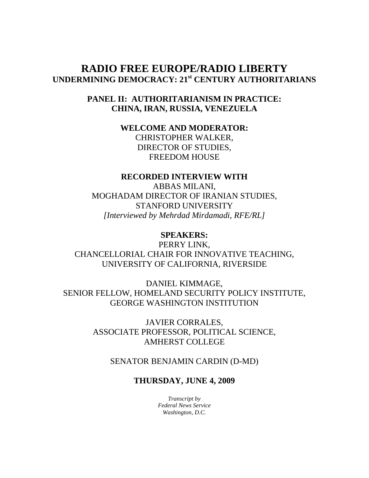# **RADIO FREE EUROPE/RADIO LIBERTY UNDERMINING DEMOCRACY: 21st CENTURY AUTHORITARIANS**

## **PANEL II: AUTHORITARIANISM IN PRACTICE: CHINA, IRAN, RUSSIA, VENEZUELA**

# **WELCOME AND MODERATOR:**

CHRISTOPHER WALKER, DIRECTOR OF STUDIES, FREEDOM HOUSE

## **RECORDED INTERVIEW WITH**

ABBAS MILANI, MOGHADAM DIRECTOR OF IRANIAN STUDIES, STANFORD UNIVERSITY *[Interviewed by Mehrdad Mirdamadi, RFE/RL]* 

#### **SPEAKERS:**

PERRY LINK, CHANCELLORIAL CHAIR FOR INNOVATIVE TEACHING, UNIVERSITY OF CALIFORNIA, RIVERSIDE

DANIEL KIMMAGE, SENIOR FELLOW, HOMELAND SECURITY POLICY INSTITUTE, GEORGE WASHINGTON INSTITUTION

> JAVIER CORRALES, ASSOCIATE PROFESSOR, POLITICAL SCIENCE, AMHERST COLLEGE

SENATOR BENJAMIN CARDIN (D-MD)

### **THURSDAY, JUNE 4, 2009**

*Transcript by Federal News Service Washington, D.C.*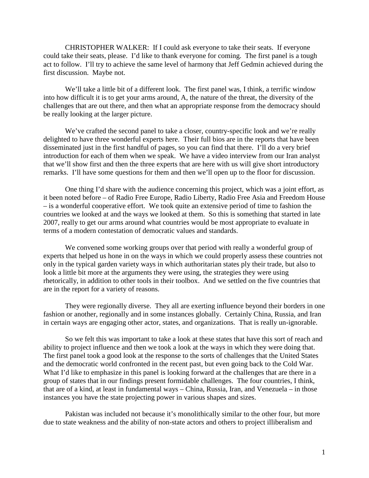CHRISTOPHER WALKER: If I could ask everyone to take their seats. If everyone could take their seats, please. I'd like to thank everyone for coming. The first panel is a tough act to follow. I'll try to achieve the same level of harmony that Jeff Gedmin achieved during the first discussion. Maybe not.

We'll take a little bit of a different look. The first panel was, I think, a terrific window into how difficult it is to get your arms around, A, the nature of the threat, the diversity of the challenges that are out there, and then what an appropriate response from the democracy should be really looking at the larger picture.

We've crafted the second panel to take a closer, country-specific look and we're really delighted to have three wonderful experts here. Their full bios are in the reports that have been disseminated just in the first handful of pages, so you can find that there. I'll do a very brief introduction for each of them when we speak. We have a video interview from our Iran analyst that we'll show first and then the three experts that are here with us will give short introductory remarks. I'll have some questions for them and then we'll open up to the floor for discussion.

One thing I'd share with the audience concerning this project, which was a joint effort, as it been noted before – of Radio Free Europe, Radio Liberty, Radio Free Asia and Freedom House – is a wonderful cooperative effort. We took quite an extensive period of time to fashion the countries we looked at and the ways we looked at them. So this is something that started in late 2007, really to get our arms around what countries would be most appropriate to evaluate in terms of a modern contestation of democratic values and standards.

We convened some working groups over that period with really a wonderful group of experts that helped us hone in on the ways in which we could properly assess these countries not only in the typical garden variety ways in which authoritarian states ply their trade, but also to look a little bit more at the arguments they were using, the strategies they were using rhetorically, in addition to other tools in their toolbox. And we settled on the five countries that are in the report for a variety of reasons.

They were regionally diverse. They all are exerting influence beyond their borders in one fashion or another, regionally and in some instances globally. Certainly China, Russia, and Iran in certain ways are engaging other actor, states, and organizations. That is really un-ignorable.

So we felt this was important to take a look at these states that have this sort of reach and ability to project influence and then we took a look at the ways in which they were doing that. The first panel took a good look at the response to the sorts of challenges that the United States and the democratic world confronted in the recent past, but even going back to the Cold War. What I'd like to emphasize in this panel is looking forward at the challenges that are there in a group of states that in our findings present formidable challenges. The four countries, I think, that are of a kind, at least in fundamental ways – China, Russia, Iran, and Venezuela – in those instances you have the state projecting power in various shapes and sizes.

Pakistan was included not because it's monolithically similar to the other four, but more due to state weakness and the ability of non-state actors and others to project illiberalism and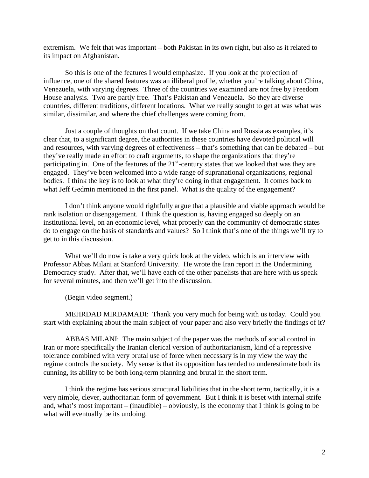extremism. We felt that was important – both Pakistan in its own right, but also as it related to its impact on Afghanistan.

So this is one of the features I would emphasize. If you look at the projection of influence, one of the shared features was an illiberal profile, whether you're talking about China, Venezuela, with varying degrees. Three of the countries we examined are not free by Freedom House analysis. Two are partly free. That's Pakistan and Venezuela. So they are diverse countries, different traditions, different locations. What we really sought to get at was what was similar, dissimilar, and where the chief challenges were coming from.

Just a couple of thoughts on that count. If we take China and Russia as examples, it's clear that, to a significant degree, the authorities in these countries have devoted political will and resources, with varying degrees of effectiveness – that's something that can be debated – but they've really made an effort to craft arguments, to shape the organizations that they're participating in. One of the features of the  $21<sup>st</sup>$ -century states that we looked that was they are engaged. They've been welcomed into a wide range of supranational organizations, regional bodies. I think the key is to look at what they're doing in that engagement. It comes back to what Jeff Gedmin mentioned in the first panel. What is the quality of the engagement?

I don't think anyone would rightfully argue that a plausible and viable approach would be rank isolation or disengagement. I think the question is, having engaged so deeply on an institutional level, on an economic level, what properly can the community of democratic states do to engage on the basis of standards and values? So I think that's one of the things we'll try to get to in this discussion.

What we'll do now is take a very quick look at the video, which is an interview with Professor Abbas Milani at Stanford University. He wrote the Iran report in the Undermining Democracy study. After that, we'll have each of the other panelists that are here with us speak for several minutes, and then we'll get into the discussion.

(Begin video segment.)

MEHRDAD MIRDAMADI: Thank you very much for being with us today. Could you start with explaining about the main subject of your paper and also very briefly the findings of it?

ABBAS MILANI: The main subject of the paper was the methods of social control in Iran or more specifically the Iranian clerical version of authoritarianism, kind of a repressive tolerance combined with very brutal use of force when necessary is in my view the way the regime controls the society. My sense is that its opposition has tended to underestimate both its cunning, its ability to be both long-term planning and brutal in the short term.

I think the regime has serious structural liabilities that in the short term, tactically, it is a very nimble, clever, authoritarian form of government. But I think it is beset with internal strife and, what's most important – (inaudible) – obviously, is the economy that I think is going to be what will eventually be its undoing.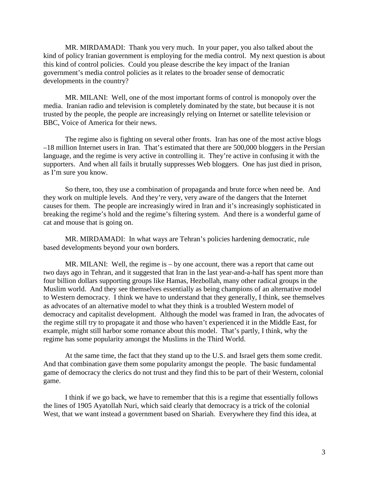MR. MIRDAMADI: Thank you very much. In your paper, you also talked about the kind of policy Iranian government is employing for the media control. My next question is about this kind of control policies. Could you please describe the key impact of the Iranian government's media control policies as it relates to the broader sense of democratic developments in the country?

MR. MILANI: Well, one of the most important forms of control is monopoly over the media. Iranian radio and television is completely dominated by the state, but because it is not trusted by the people, the people are increasingly relying on Internet or satellite television or BBC, Voice of America for their news.

The regime also is fighting on several other fronts. Iran has one of the most active blogs –18 million Internet users in Iran. That's estimated that there are 500,000 bloggers in the Persian language, and the regime is very active in controlling it. They're active in confusing it with the supporters. And when all fails it brutally suppresses Web bloggers. One has just died in prison, as I'm sure you know.

So there, too, they use a combination of propaganda and brute force when need be. And they work on multiple levels. And they're very, very aware of the dangers that the Internet causes for them. The people are increasingly wired in Iran and it's increasingly sophisticated in breaking the regime's hold and the regime's filtering system. And there is a wonderful game of cat and mouse that is going on.

MR. MIRDAMADI: In what ways are Tehran's policies hardening democratic, rule based developments beyond your own borders.

MR. MILANI: Well, the regime is – by one account, there was a report that came out two days ago in Tehran, and it suggested that Iran in the last year-and-a-half has spent more than four billion dollars supporting groups like Hamas, Hezbollah, many other radical groups in the Muslim world. And they see themselves essentially as being champions of an alternative model to Western democracy. I think we have to understand that they generally, I think, see themselves as advocates of an alternative model to what they think is a troubled Western model of democracy and capitalist development. Although the model was framed in Iran, the advocates of the regime still try to propagate it and those who haven't experienced it in the Middle East, for example, might still harbor some romance about this model. That's partly, I think, why the regime has some popularity amongst the Muslims in the Third World.

At the same time, the fact that they stand up to the U.S. and Israel gets them some credit. And that combination gave them some popularity amongst the people. The basic fundamental game of democracy the clerics do not trust and they find this to be part of their Western, colonial game.

I think if we go back, we have to remember that this is a regime that essentially follows the lines of 1905 Ayatollah Nuri, which said clearly that democracy is a trick of the colonial West, that we want instead a government based on Shariah. Everywhere they find this idea, at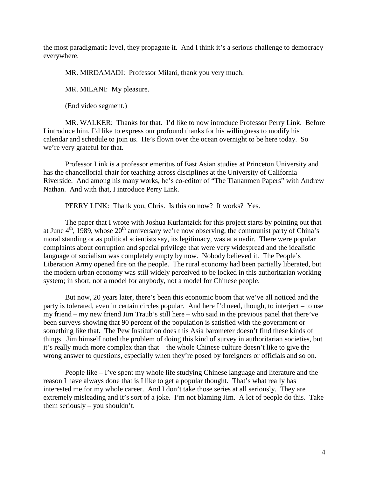the most paradigmatic level, they propagate it. And I think it's a serious challenge to democracy everywhere.

MR. MIRDAMADI: Professor Milani, thank you very much.

MR. MILANI: My pleasure.

(End video segment.)

MR. WALKER: Thanks for that. I'd like to now introduce Professor Perry Link. Before I introduce him, I'd like to express our profound thanks for his willingness to modify his calendar and schedule to join us. He's flown over the ocean overnight to be here today. So we're very grateful for that.

Professor Link is a professor emeritus of East Asian studies at Princeton University and has the chancellorial chair for teaching across disciplines at the University of California Riverside. And among his many works, he's co-editor of "The Tiananmen Papers" with Andrew Nathan. And with that, I introduce Perry Link.

PERRY LINK: Thank you, Chris. Is this on now? It works? Yes.

The paper that I wrote with Joshua Kurlantzick for this project starts by pointing out that at June  $4<sup>th</sup>$ , 1989, whose  $20<sup>th</sup>$  anniversary we're now observing, the communist party of China's moral standing or as political scientists say, its legitimacy, was at a nadir. There were popular complaints about corruption and special privilege that were very widespread and the idealistic language of socialism was completely empty by now. Nobody believed it. The People's Liberation Army opened fire on the people. The rural economy had been partially liberated, but the modern urban economy was still widely perceived to be locked in this authoritarian working system; in short, not a model for anybody, not a model for Chinese people.

But now, 20 years later, there's been this economic boom that we've all noticed and the party is tolerated, even in certain circles popular. And here I'd need, though, to interject – to use my friend – my new friend Jim Traub's still here – who said in the previous panel that there've been surveys showing that 90 percent of the population is satisfied with the government or something like that. The Pew Institution does this Asia barometer doesn't find these kinds of things. Jim himself noted the problem of doing this kind of survey in authoritarian societies, but it's really much more complex than that – the whole Chinese culture doesn't like to give the wrong answer to questions, especially when they're posed by foreigners or officials and so on.

People like – I've spent my whole life studying Chinese language and literature and the reason I have always done that is I like to get a popular thought. That's what really has interested me for my whole career. And I don't take those series at all seriously. They are extremely misleading and it's sort of a joke. I'm not blaming Jim. A lot of people do this. Take them seriously – you shouldn't.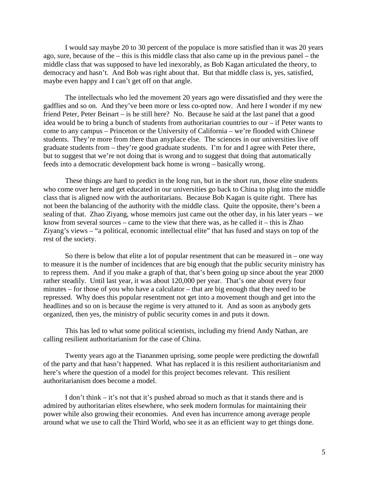I would say maybe 20 to 30 percent of the populace is more satisfied than it was 20 years ago, sure, because of the – this is this middle class that also came up in the previous panel – the middle class that was supposed to have led inexorably, as Bob Kagan articulated the theory, to democracy and hasn't. And Bob was right about that. But that middle class is, yes, satisfied, maybe even happy and I can't get off on that angle.

The intellectuals who led the movement 20 years ago were dissatisfied and they were the gadflies and so on. And they've been more or less co-opted now. And here I wonder if my new friend Peter, Peter Beinart – is he still here? No. Because he said at the last panel that a good idea would be to bring a bunch of students from authoritarian countries to our – if Peter wants to come to any campus – Princeton or the University of California – we're flooded with Chinese students. They're more from there than anyplace else. The sciences in our universities live off graduate students from – they're good graduate students. I'm for and I agree with Peter there, but to suggest that we're not doing that is wrong and to suggest that doing that automatically feeds into a democratic development back home is wrong – basically wrong.

These things are hard to predict in the long run, but in the short run, those elite students who come over here and get educated in our universities go back to China to plug into the middle class that is aligned now with the authoritarians. Because Bob Kagan is quite right. There has not been the balancing of the authority with the middle class. Quite the opposite, there's been a sealing of that. Zhao Ziyang, whose memoirs just came out the other day, in his later years – we know from several sources – came to the view that there was, as he called it – this is Zhao Ziyang's views – "a political, economic intellectual elite" that has fused and stays on top of the rest of the society.

So there is below that elite a lot of popular resentment that can be measured in – one way to measure it is the number of incidences that are big enough that the public security ministry has to repress them. And if you make a graph of that, that's been going up since about the year 2000 rather steadily. Until last year, it was about 120,000 per year. That's one about every four minutes – for those of you who have a calculator – that are big enough that they need to be repressed. Why does this popular resentment not get into a movement though and get into the headlines and so on is because the regime is very attuned to it. And as soon as anybody gets organized, then yes, the ministry of public security comes in and puts it down.

This has led to what some political scientists, including my friend Andy Nathan, are calling resilient authoritarianism for the case of China.

Twenty years ago at the Tiananmen uprising, some people were predicting the downfall of the party and that hasn't happened. What has replaced it is this resilient authoritarianism and here's where the question of a model for this project becomes relevant. This resilient authoritarianism does become a model.

I don't think – it's not that it's pushed abroad so much as that it stands there and is admired by authoritarian elites elsewhere, who seek modern formulas for maintaining their power while also growing their economies. And even has incurrence among average people around what we use to call the Third World, who see it as an efficient way to get things done.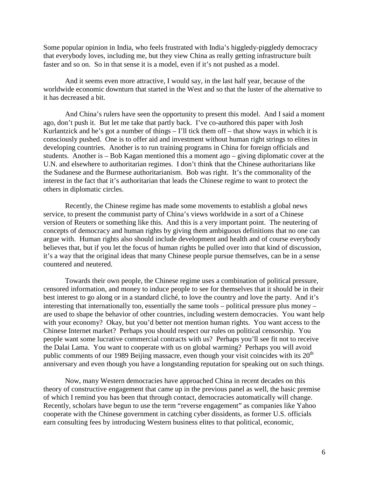Some popular opinion in India, who feels frustrated with India's higgledy-piggledy democracy that everybody loves, including me, but they view China as really getting infrastructure built faster and so on. So in that sense it is a model, even if it's not pushed as a model.

And it seems even more attractive, I would say, in the last half year, because of the worldwide economic downturn that started in the West and so that the luster of the alternative to it has decreased a bit.

And China's rulers have seen the opportunity to present this model. And I said a moment ago, don't push it. But let me take that partly back. I've co-authored this paper with Josh Kurlantzick and he's got a number of things – I'll tick them off – that show ways in which it is consciously pushed. One is to offer aid and investment without human right strings to elites in developing countries. Another is to run training programs in China for foreign officials and students. Another is – Bob Kagan mentioned this a moment ago – giving diplomatic cover at the U.N. and elsewhere to authoritarian regimes. I don't think that the Chinese authoritarians like the Sudanese and the Burmese authoritarianism. Bob was right. It's the commonality of the interest in the fact that it's authoritarian that leads the Chinese regime to want to protect the others in diplomatic circles.

Recently, the Chinese regime has made some movements to establish a global news service, to present the communist party of China's views worldwide in a sort of a Chinese version of Reuters or something like this. And this is a very important point. The neutering of concepts of democracy and human rights by giving them ambiguous definitions that no one can argue with. Human rights also should include development and health and of course everybody believes that, but if you let the focus of human rights be pulled over into that kind of discussion, it's a way that the original ideas that many Chinese people pursue themselves, can be in a sense countered and neutered.

Towards their own people, the Chinese regime uses a combination of political pressure, censored information, and money to induce people to see for themselves that it should be in their best interest to go along or in a standard cliché, to love the country and love the party. And it's interesting that internationally too, essentially the same tools – political pressure plus money – are used to shape the behavior of other countries, including western democracies. You want help with your economy? Okay, but you'd better not mention human rights. You want access to the Chinese Internet market? Perhaps you should respect our rules on political censorship. You people want some lucrative commercial contracts with us? Perhaps you'll see fit not to receive the Dalai Lama. You want to cooperate with us on global warming? Perhaps you will avoid public comments of our 1989 Beijing massacre, even though your visit coincides with its  $20<sup>th</sup>$ anniversary and even though you have a longstanding reputation for speaking out on such things.

Now, many Western democracies have approached China in recent decades on this theory of constructive engagement that came up in the previous panel as well, the basic premise of which I remind you has been that through contact, democracies automatically will change. Recently, scholars have begun to use the term "reverse engagement" as companies like Yahoo cooperate with the Chinese government in catching cyber dissidents, as former U.S. officials earn consulting fees by introducing Western business elites to that political, economic,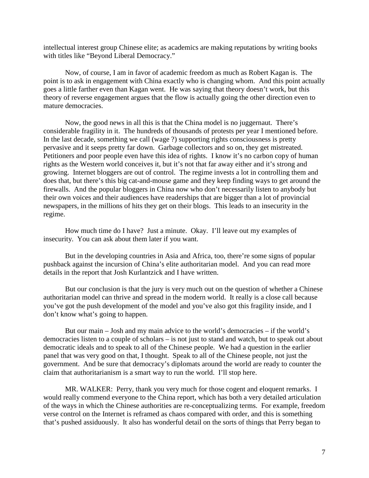intellectual interest group Chinese elite; as academics are making reputations by writing books with titles like "Beyond Liberal Democracy."

Now, of course, I am in favor of academic freedom as much as Robert Kagan is. The point is to ask in engagement with China exactly who is changing whom. And this point actually goes a little farther even than Kagan went. He was saying that theory doesn't work, but this theory of reverse engagement argues that the flow is actually going the other direction even to mature democracies.

Now, the good news in all this is that the China model is no juggernaut. There's considerable fragility in it. The hundreds of thousands of protests per year I mentioned before. In the last decade, something we call (wage ?) supporting rights consciousness is pretty pervasive and it seeps pretty far down. Garbage collectors and so on, they get mistreated. Petitioners and poor people even have this idea of rights. I know it's no carbon copy of human rights as the Western world conceives it, but it's not that far away either and it's strong and growing. Internet bloggers are out of control. The regime invests a lot in controlling them and does that, but there's this big cat-and-mouse game and they keep finding ways to get around the firewalls. And the popular bloggers in China now who don't necessarily listen to anybody but their own voices and their audiences have readerships that are bigger than a lot of provincial newspapers, in the millions of hits they get on their blogs. This leads to an insecurity in the regime.

How much time do I have? Just a minute. Okay. I'll leave out my examples of insecurity. You can ask about them later if you want.

But in the developing countries in Asia and Africa, too, there're some signs of popular pushback against the incursion of China's elite authoritarian model. And you can read more details in the report that Josh Kurlantzick and I have written.

But our conclusion is that the jury is very much out on the question of whether a Chinese authoritarian model can thrive and spread in the modern world. It really is a close call because you've got the push development of the model and you've also got this fragility inside, and I don't know what's going to happen.

But our main – Josh and my main advice to the world's democracies – if the world's democracies listen to a couple of scholars – is not just to stand and watch, but to speak out about democratic ideals and to speak to all of the Chinese people. We had a question in the earlier panel that was very good on that, I thought. Speak to all of the Chinese people, not just the government. And be sure that democracy's diplomats around the world are ready to counter the claim that authoritarianism is a smart way to run the world. I'll stop here.

MR. WALKER: Perry, thank you very much for those cogent and eloquent remarks. I would really commend everyone to the China report, which has both a very detailed articulation of the ways in which the Chinese authorities are re-conceptualizing terms. For example, freedom verse control on the Internet is reframed as chaos compared with order, and this is something that's pushed assiduously. It also has wonderful detail on the sorts of things that Perry began to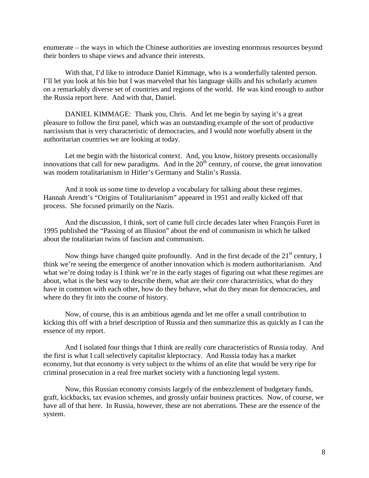enumerate – the ways in which the Chinese authorities are investing enormous resources beyond their borders to shape views and advance their interests.

With that, I'd like to introduce Daniel Kimmage, who is a wonderfully talented person. I'll let you look at his bio but I was marveled that his language skills and his scholarly acumen on a remarkably diverse set of countries and regions of the world. He was kind enough to author the Russia report here. And with that, Daniel.

DANIEL KIMMAGE: Thank you, Chris. And let me begin by saying it's a great pleasure to follow the first panel, which was an outstanding example of the sort of productive narcissism that is very characteristic of democracies, and I would note woefully absent in the authoritarian countries we are looking at today.

Let me begin with the historical context. And, you know, history presents occasionally innovations that call for new paradigms. And in the  $20<sup>th</sup>$  century, of course, the great innovation was modern totalitarianism in Hitler's Germany and Stalin's Russia.

And it took us some time to develop a vocabulary for talking about these regimes. Hannah Arendt's "Origins of Totalitarianism" appeared in 1951 and really kicked off that process. She focused primarily on the Nazis.

And the discussion, I think, sort of came full circle decades later when François Furet in 1995 published the "Passing of an Illusion" about the end of communism in which he talked about the totalitarian twins of fascism and communism.

Now things have changed quite profoundly. And in the first decade of the  $21<sup>st</sup>$  century, I think we're seeing the emergence of another innovation which is modern authoritarianism. And what we're doing today is I think we're in the early stages of figuring out what these regimes are about, what is the best way to describe them, what are their core characteristics, what do they have in common with each other, how do they behave, what do they mean for democracies, and where do they fit into the course of history.

Now, of course, this is an ambitious agenda and let me offer a small contribution to kicking this off with a brief description of Russia and then summarize this as quickly as I can the essence of my report.

And I isolated four things that I think are really core characteristics of Russia today. And the first is what I call selectively capitalist kleptocracy. And Russia today has a market economy, but that economy is very subject to the whims of an elite that would be very ripe for criminal prosecution in a real free market society with a functioning legal system.

Now, this Russian economy consists largely of the embezzlement of budgetary funds, graft, kickbacks, tax evasion schemes, and grossly unfair business practices. Now, of course, we have all of that here. In Russia, however, these are not aberrations. These are the essence of the system.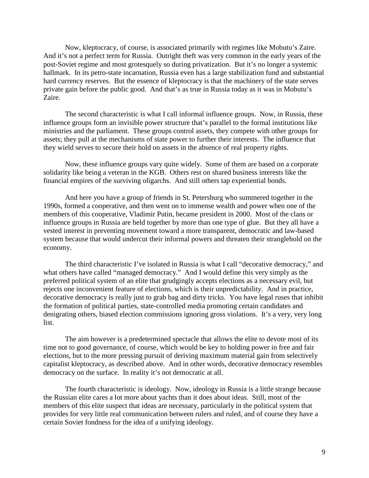Now, kleptocracy, of course, is associated primarily with regimes like Mobutu's Zaire. And it's not a perfect term for Russia. Outright theft was very common in the early years of the post-Soviet regime and most grotesquely so during privatization. But it's no longer a systemic hallmark. In its petro-state incarnation, Russia even has a large stabilization fund and substantial hard currency reserves. But the essence of kleptocracy is that the machinery of the state serves private gain before the public good. And that's as true in Russia today as it was in Mobutu's Zaire.

The second characteristic is what I call informal influence groups. Now, in Russia, these influence groups form an invisible power structure that's parallel to the formal institutions like ministries and the parliament. These groups control assets, they compete with other groups for assets; they pull at the mechanisms of state power to further their interests. The influence that they wield serves to secure their hold on assets in the absence of real property rights.

Now, these influence groups vary quite widely. Some of them are based on a corporate solidarity like being a veteran in the KGB. Others rest on shared business interests like the financial empires of the surviving oligarchs. And still others tap experiential bonds.

And here you have a group of friends in St. Petersburg who summered together in the 1990s, formed a cooperative, and then went on to immense wealth and power when one of the members of this cooperative, Vladimir Putin, became president in 2000. Most of the clans or influence groups in Russia are held together by more than one type of glue. But they all have a vested interest in preventing movement toward a more transparent, democratic and law-based system because that would undercut their informal powers and threaten their stranglehold on the economy.

The third characteristic I've isolated in Russia is what I call "decorative democracy," and what others have called "managed democracy." And I would define this very simply as the preferred political system of an elite that grudgingly accepts elections as a necessary evil, but rejects one inconvenient feature of elections, which is their unpredictability. And in practice, decorative democracy is really just to grab bag and dirty tricks. You have legal ruses that inhibit the formation of political parties, state-controlled media promoting certain candidates and denigrating others, biased election commissions ignoring gross violations. It's a very, very long list.

The aim however is a predetermined spectacle that allows the elite to devote most of its time not to good governance, of course, which would be key to holding power in free and fair elections, but to the more pressing pursuit of deriving maximum material gain from selectively capitalist kleptocracy, as described above. And in other words, decorative democracy resembles democracy on the surface. In reality it's not democratic at all.

The fourth characteristic is ideology. Now, ideology in Russia is a little strange because the Russian elite cares a lot more about yachts than it does about ideas. Still, most of the members of this elite suspect that ideas are necessary, particularly in the political system that provides for very little real communication between rulers and ruled, and of course they have a certain Soviet fondness for the idea of a unifying ideology.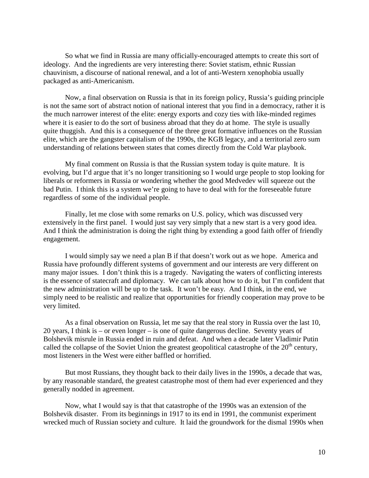So what we find in Russia are many officially-encouraged attempts to create this sort of ideology. And the ingredients are very interesting there: Soviet statism, ethnic Russian chauvinism, a discourse of national renewal, and a lot of anti-Western xenophobia usually packaged as anti-Americanism.

Now, a final observation on Russia is that in its foreign policy, Russia's guiding principle is not the same sort of abstract notion of national interest that you find in a democracy, rather it is the much narrower interest of the elite: energy exports and cozy ties with like-minded regimes where it is easier to do the sort of business abroad that they do at home. The style is usually quite thuggish. And this is a consequence of the three great formative influences on the Russian elite, which are the gangster capitalism of the 1990s, the KGB legacy, and a territorial zero sum understanding of relations between states that comes directly from the Cold War playbook.

My final comment on Russia is that the Russian system today is quite mature. It is evolving, but I'd argue that it's no longer transitioning so I would urge people to stop looking for liberals or reformers in Russia or wondering whether the good Medvedev will squeeze out the bad Putin. I think this is a system we're going to have to deal with for the foreseeable future regardless of some of the individual people.

Finally, let me close with some remarks on U.S. policy, which was discussed very extensively in the first panel. I would just say very simply that a new start is a very good idea. And I think the administration is doing the right thing by extending a good faith offer of friendly engagement.

I would simply say we need a plan B if that doesn't work out as we hope. America and Russia have profoundly different systems of government and our interests are very different on many major issues. I don't think this is a tragedy. Navigating the waters of conflicting interests is the essence of statecraft and diplomacy. We can talk about how to do it, but I'm confident that the new administration will be up to the task. It won't be easy. And I think, in the end, we simply need to be realistic and realize that opportunities for friendly cooperation may prove to be very limited.

As a final observation on Russia, let me say that the real story in Russia over the last 10, 20 years, I think is – or even longer – is one of quite dangerous decline. Seventy years of Bolshevik misrule in Russia ended in ruin and defeat. And when a decade later Vladimir Putin called the collapse of the Soviet Union the greatest geopolitical catastrophe of the  $20<sup>th</sup>$  century, most listeners in the West were either baffled or horrified.

But most Russians, they thought back to their daily lives in the 1990s, a decade that was, by any reasonable standard, the greatest catastrophe most of them had ever experienced and they generally nodded in agreement.

Now, what I would say is that that catastrophe of the 1990s was an extension of the Bolshevik disaster. From its beginnings in 1917 to its end in 1991, the communist experiment wrecked much of Russian society and culture. It laid the groundwork for the dismal 1990s when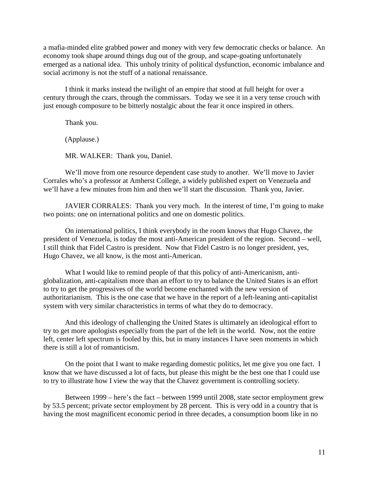a mafia-minded elite grabbed power and money with very few democratic checks or balance. An economy took shape around things dug out of the group, and scape-goating unfortunately emerged as a national idea. This unholy trinity of political dysfunction, economic imbalance and social acrimony is not the stuff of a national renaissance.

I think it marks instead the twilight of an empire that stood at full height for over a century through the czars, through the commissars. Today we see it in a very tense crouch with just enough composure to be bitterly nostalgic about the fear it once inspired in others.

Thank you.

(Applause.)

MR. WALKER: Thank you, Daniel.

We'll move from one resource dependent case study to another. We'll move to Javier Corrales who's a professor at Amherst College, a widely published expert on Venezuela and we'll have a few minutes from him and then we'll start the discussion. Thank you, Javier.

JAVIER CORRALES: Thank you very much. In the interest of time, I'm going to make two points: one on international politics and one on domestic politics.

On international politics, I think everybody in the room knows that Hugo Chavez, the president of Venezuela, is today the most anti-American president of the region. Second – well, I still think that Fidel Castro is president. Now that Fidel Castro is no longer president, yes, Hugo Chavez, we all know, is the most anti-American.

What I would like to remind people of that this policy of anti-Americanism, antiglobalization, anti-capitalism more than an effort to try to balance the United States is an effort to try to get the progressives of the world become enchanted with the new version of authoritarianism. This is the one case that we have in the report of a left-leaning anti-capitalist system with very similar characteristics in terms of what they do to democracy.

And this ideology of challenging the United States is ultimately an ideological effort to try to get more apologists especially from the part of the left in the world. Now, not the entire left, center left spectrum is fooled by this, but in many instances I have seen moments in which there is still a lot of romanticism.

On the point that I want to make regarding domestic politics, let me give you one fact. I know that we have discussed a lot of facts, but please this might be the best one that I could use to try to illustrate how I view the way that the Chavez government is controlling society.

Between 1999 – here's the fact – between 1999 until 2008, state sector employment grew by 53.5 percent; private sector employment by 28 percent. This is very odd in a country that is having the most magnificent economic period in three decades, a consumption boom like in no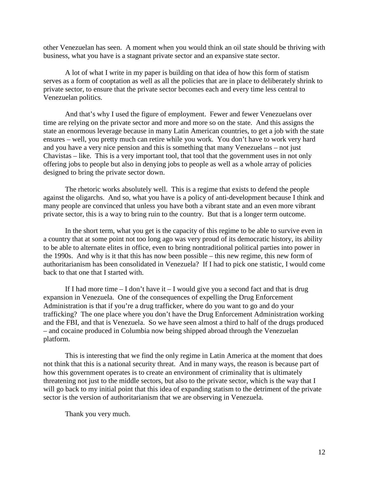other Venezuelan has seen. A moment when you would think an oil state should be thriving with business, what you have is a stagnant private sector and an expansive state sector.

A lot of what I write in my paper is building on that idea of how this form of statism serves as a form of cooptation as well as all the policies that are in place to deliberately shrink to private sector, to ensure that the private sector becomes each and every time less central to Venezuelan politics.

And that's why I used the figure of employment. Fewer and fewer Venezuelans over time are relying on the private sector and more and more so on the state. And this assigns the state an enormous leverage because in many Latin American countries, to get a job with the state ensures – well, you pretty much can retire while you work. You don't have to work very hard and you have a very nice pension and this is something that many Venezuelans – not just Chavistas – like. This is a very important tool, that tool that the government uses in not only offering jobs to people but also in denying jobs to people as well as a whole array of policies designed to bring the private sector down.

The rhetoric works absolutely well. This is a regime that exists to defend the people against the oligarchs. And so, what you have is a policy of anti-development because I think and many people are convinced that unless you have both a vibrant state and an even more vibrant private sector, this is a way to bring ruin to the country. But that is a longer term outcome.

In the short term, what you get is the capacity of this regime to be able to survive even in a country that at some point not too long ago was very proud of its democratic history, its ability to be able to alternate elites in office, even to bring nontraditional political parties into power in the 1990s. And why is it that this has now been possible – this new regime, this new form of authoritarianism has been consolidated in Venezuela? If I had to pick one statistic, I would come back to that one that I started with.

If I had more time  $- I$  don't have it  $- I$  would give you a second fact and that is drug expansion in Venezuela. One of the consequences of expelling the Drug Enforcement Administration is that if you're a drug trafficker, where do you want to go and do your trafficking? The one place where you don't have the Drug Enforcement Administration working and the FBI, and that is Venezuela. So we have seen almost a third to half of the drugs produced – and cocaine produced in Columbia now being shipped abroad through the Venezuelan platform.

This is interesting that we find the only regime in Latin America at the moment that does not think that this is a national security threat. And in many ways, the reason is because part of how this government operates is to create an environment of criminality that is ultimately threatening not just to the middle sectors, but also to the private sector, which is the way that I will go back to my initial point that this idea of expanding statism to the detriment of the private sector is the version of authoritarianism that we are observing in Venezuela.

Thank you very much.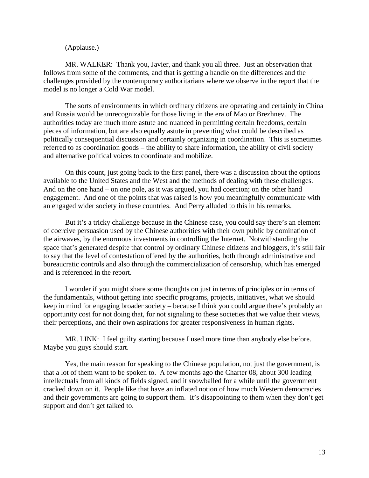#### (Applause.)

MR. WALKER: Thank you, Javier, and thank you all three. Just an observation that follows from some of the comments, and that is getting a handle on the differences and the challenges provided by the contemporary authoritarians where we observe in the report that the model is no longer a Cold War model.

The sorts of environments in which ordinary citizens are operating and certainly in China and Russia would be unrecognizable for those living in the era of Mao or Brezhnev. The authorities today are much more astute and nuanced in permitting certain freedoms, certain pieces of information, but are also equally astute in preventing what could be described as politically consequential discussion and certainly organizing in coordination. This is sometimes referred to as coordination goods – the ability to share information, the ability of civil society and alternative political voices to coordinate and mobilize.

On this count, just going back to the first panel, there was a discussion about the options available to the United States and the West and the methods of dealing with these challenges. And on the one hand – on one pole, as it was argued, you had coercion; on the other hand engagement. And one of the points that was raised is how you meaningfully communicate with an engaged wider society in these countries. And Perry alluded to this in his remarks.

But it's a tricky challenge because in the Chinese case, you could say there's an element of coercive persuasion used by the Chinese authorities with their own public by domination of the airwaves, by the enormous investments in controlling the Internet. Notwithstanding the space that's generated despite that control by ordinary Chinese citizens and bloggers, it's still fair to say that the level of contestation offered by the authorities, both through administrative and bureaucratic controls and also through the commercialization of censorship, which has emerged and is referenced in the report.

 I wonder if you might share some thoughts on just in terms of principles or in terms of the fundamentals, without getting into specific programs, projects, initiatives, what we should keep in mind for engaging broader society – because I think you could argue there's probably an opportunity cost for not doing that, for not signaling to these societies that we value their views, their perceptions, and their own aspirations for greater responsiveness in human rights.

 MR. LINK: I feel guilty starting because I used more time than anybody else before. Maybe you guys should start.

 Yes, the main reason for speaking to the Chinese population, not just the government, is that a lot of them want to be spoken to. A few months ago the Charter 08, about 300 leading intellectuals from all kinds of fields signed, and it snowballed for a while until the government cracked down on it. People like that have an inflated notion of how much Western democracies and their governments are going to support them. It's disappointing to them when they don't get support and don't get talked to.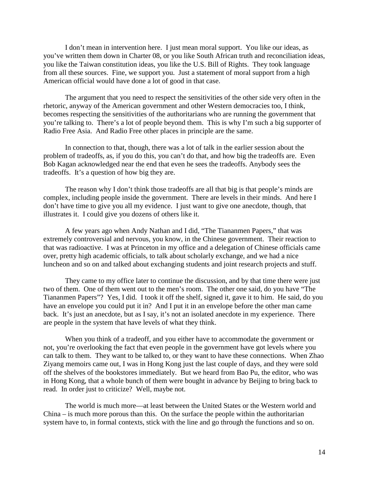I don't mean in intervention here. I just mean moral support. You like our ideas, as you've written them down in Charter 08, or you like South African truth and reconciliation ideas, you like the Taiwan constitution ideas, you like the U.S. Bill of Rights. They took language from all these sources. Fine, we support you. Just a statement of moral support from a high American official would have done a lot of good in that case.

 The argument that you need to respect the sensitivities of the other side very often in the rhetoric, anyway of the American government and other Western democracies too, I think, becomes respecting the sensitivities of the authoritarians who are running the government that you're talking to. There's a lot of people beyond them. This is why I'm such a big supporter of Radio Free Asia. And Radio Free other places in principle are the same.

 In connection to that, though, there was a lot of talk in the earlier session about the problem of tradeoffs, as, if you do this, you can't do that, and how big the tradeoffs are. Even Bob Kagan acknowledged near the end that even he sees the tradeoffs. Anybody sees the tradeoffs. It's a question of how big they are.

 The reason why I don't think those tradeoffs are all that big is that people's minds are complex, including people inside the government. There are levels in their minds. And here I don't have time to give you all my evidence. I just want to give one anecdote, though, that illustrates it. I could give you dozens of others like it.

 A few years ago when Andy Nathan and I did, "The Tiananmen Papers," that was extremely controversial and nervous, you know, in the Chinese government. Their reaction to that was radioactive. I was at Princeton in my office and a delegation of Chinese officials came over, pretty high academic officials, to talk about scholarly exchange, and we had a nice luncheon and so on and talked about exchanging students and joint research projects and stuff.

 They came to my office later to continue the discussion, and by that time there were just two of them. One of them went out to the men's room. The other one said, do you have "The Tiananmen Papers"? Yes, I did. I took it off the shelf, signed it, gave it to him. He said, do you have an envelope you could put it in? And I put it in an envelope before the other man came back. It's just an anecdote, but as I say, it's not an isolated anecdote in my experience. There are people in the system that have levels of what they think.

 When you think of a tradeoff, and you either have to accommodate the government or not, you're overlooking the fact that even people in the government have got levels where you can talk to them. They want to be talked to, or they want to have these connections. When Zhao Ziyang memoirs came out, I was in Hong Kong just the last couple of days, and they were sold off the shelves of the bookstores immediately. But we heard from Bao Pu, the editor, who was in Hong Kong, that a whole bunch of them were bought in advance by Beijing to bring back to read. In order just to criticize? Well, maybe not.

The world is much more—at least between the United States or the Western world and China – is much more porous than this. On the surface the people within the authoritarian system have to, in formal contexts, stick with the line and go through the functions and so on.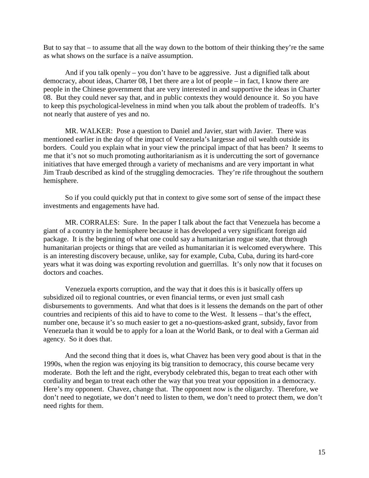But to say that – to assume that all the way down to the bottom of their thinking they're the same as what shows on the surface is a naïve assumption.

And if you talk openly – you don't have to be aggressive. Just a dignified talk about democracy, about ideas, Charter 08, I bet there are a lot of people – in fact, I know there are people in the Chinese government that are very interested in and supportive the ideas in Charter 08. But they could never say that, and in public contexts they would denounce it. So you have to keep this psychological-levelness in mind when you talk about the problem of tradeoffs. It's not nearly that austere of yes and no.

MR. WALKER: Pose a question to Daniel and Javier, start with Javier. There was mentioned earlier in the day of the impact of Venezuela's largesse and oil wealth outside its borders. Could you explain what in your view the principal impact of that has been? It seems to me that it's not so much promoting authoritarianism as it is undercutting the sort of governance initiatives that have emerged through a variety of mechanisms and are very important in what Jim Traub described as kind of the struggling democracies. They're rife throughout the southern hemisphere.

So if you could quickly put that in context to give some sort of sense of the impact these investments and engagements have had.

MR. CORRALES: Sure. In the paper I talk about the fact that Venezuela has become a giant of a country in the hemisphere because it has developed a very significant foreign aid package. It is the beginning of what one could say a humanitarian rogue state, that through humanitarian projects or things that are veiled as humanitarian it is welcomed everywhere. This is an interesting discovery because, unlike, say for example, Cuba, Cuba, during its hard-core years what it was doing was exporting revolution and guerrillas. It's only now that it focuses on doctors and coaches.

Venezuela exports corruption, and the way that it does this is it basically offers up subsidized oil to regional countries, or even financial terms, or even just small cash disbursements to governments. And what that does is it lessens the demands on the part of other countries and recipients of this aid to have to come to the West. It lessens – that's the effect, number one, because it's so much easier to get a no-questions-asked grant, subsidy, favor from Venezuela than it would be to apply for a loan at the World Bank, or to deal with a German aid agency. So it does that.

And the second thing that it does is, what Chavez has been very good about is that in the 1990s, when the region was enjoying its big transition to democracy, this course became very moderate. Both the left and the right, everybody celebrated this, began to treat each other with cordiality and began to treat each other the way that you treat your opposition in a democracy. Here's my opponent. Chavez, change that. The opponent now is the oligarchy. Therefore, we don't need to negotiate, we don't need to listen to them, we don't need to protect them, we don't need rights for them.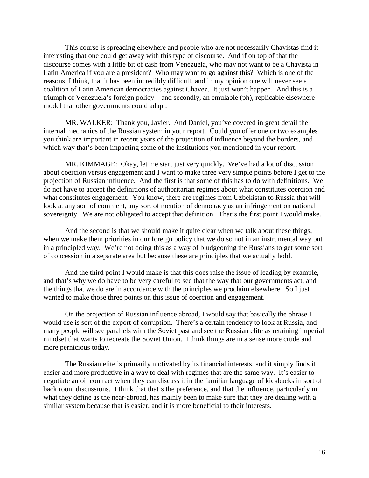This course is spreading elsewhere and people who are not necessarily Chavistas find it interesting that one could get away with this type of discourse. And if on top of that the discourse comes with a little bit of cash from Venezuela, who may not want to be a Chavista in Latin America if you are a president? Who may want to go against this? Which is one of the reasons, I think, that it has been incredibly difficult, and in my opinion one will never see a coalition of Latin American democracies against Chavez. It just won't happen. And this is a triumph of Venezuela's foreign policy – and secondly, an emulable (ph), replicable elsewhere model that other governments could adapt.

MR. WALKER: Thank you, Javier. And Daniel, you've covered in great detail the internal mechanics of the Russian system in your report. Could you offer one or two examples you think are important in recent years of the projection of influence beyond the borders, and which way that's been impacting some of the institutions you mentioned in your report.

MR. KIMMAGE: Okay, let me start just very quickly. We've had a lot of discussion about coercion versus engagement and I want to make three very simple points before I get to the projection of Russian influence. And the first is that some of this has to do with definitions. We do not have to accept the definitions of authoritarian regimes about what constitutes coercion and what constitutes engagement. You know, there are regimes from Uzbekistan to Russia that will look at any sort of comment, any sort of mention of democracy as an infringement on national sovereignty. We are not obligated to accept that definition. That's the first point I would make.

And the second is that we should make it quite clear when we talk about these things, when we make them priorities in our foreign policy that we do so not in an instrumental way but in a principled way. We're not doing this as a way of bludgeoning the Russians to get some sort of concession in a separate area but because these are principles that we actually hold.

And the third point I would make is that this does raise the issue of leading by example, and that's why we do have to be very careful to see that the way that our governments act, and the things that we do are in accordance with the principles we proclaim elsewhere. So I just wanted to make those three points on this issue of coercion and engagement.

On the projection of Russian influence abroad, I would say that basically the phrase I would use is sort of the export of corruption. There's a certain tendency to look at Russia, and many people will see parallels with the Soviet past and see the Russian elite as retaining imperial mindset that wants to recreate the Soviet Union. I think things are in a sense more crude and more pernicious today.

The Russian elite is primarily motivated by its financial interests, and it simply finds it easier and more productive in a way to deal with regimes that are the same way. It's easier to negotiate an oil contract when they can discuss it in the familiar language of kickbacks in sort of back room discussions. I think that that's the preference, and that the influence, particularly in what they define as the near-abroad, has mainly been to make sure that they are dealing with a similar system because that is easier, and it is more beneficial to their interests.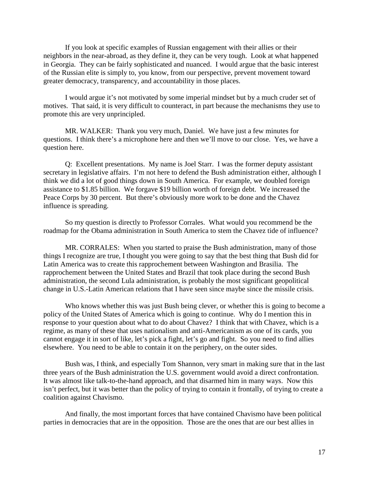If you look at specific examples of Russian engagement with their allies or their neighbors in the near-abroad, as they define it, they can be very tough. Look at what happened in Georgia. They can be fairly sophisticated and nuanced. I would argue that the basic interest of the Russian elite is simply to, you know, from our perspective, prevent movement toward greater democracy, transparency, and accountability in those places.

I would argue it's not motivated by some imperial mindset but by a much cruder set of motives. That said, it is very difficult to counteract, in part because the mechanisms they use to promote this are very unprincipled.

MR. WALKER: Thank you very much, Daniel. We have just a few minutes for questions. I think there's a microphone here and then we'll move to our close. Yes, we have a question here.

Q: Excellent presentations. My name is Joel Starr. I was the former deputy assistant secretary in legislative affairs. I'm not here to defend the Bush administration either, although I think we did a lot of good things down in South America. For example, we doubled foreign assistance to \$1.85 billion. We forgave \$19 billion worth of foreign debt. We increased the Peace Corps by 30 percent. But there's obviously more work to be done and the Chavez influence is spreading.

So my question is directly to Professor Corrales. What would you recommend be the roadmap for the Obama administration in South America to stem the Chavez tide of influence?

MR. CORRALES: When you started to praise the Bush administration, many of those things I recognize are true, I thought you were going to say that the best thing that Bush did for Latin America was to create this rapprochement between Washington and Brasilia. The rapprochement between the United States and Brazil that took place during the second Bush administration, the second Lula administration, is probably the most significant geopolitical change in U.S.-Latin American relations that I have seen since maybe since the missile crisis.

Who knows whether this was just Bush being clever, or whether this is going to become a policy of the United States of America which is going to continue. Why do I mention this in response to your question about what to do about Chavez? I think that with Chavez, which is a regime, as many of these that uses nationalism and anti-Americanism as one of its cards, you cannot engage it in sort of like, let's pick a fight, let's go and fight. So you need to find allies elsewhere. You need to be able to contain it on the periphery, on the outer sides.

Bush was, I think, and especially Tom Shannon, very smart in making sure that in the last three years of the Bush administration the U.S. government would avoid a direct confrontation. It was almost like talk-to-the-hand approach, and that disarmed him in many ways. Now this isn't perfect, but it was better than the policy of trying to contain it frontally, of trying to create a coalition against Chavismo.

And finally, the most important forces that have contained Chavismo have been political parties in democracies that are in the opposition. Those are the ones that are our best allies in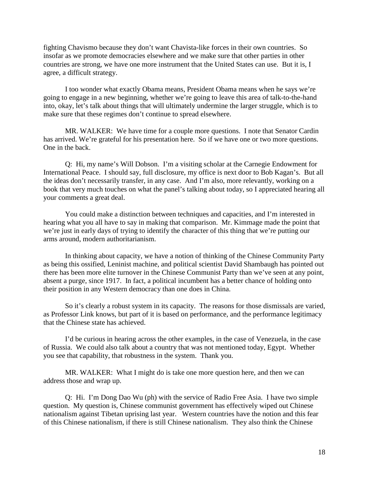fighting Chavismo because they don't want Chavista-like forces in their own countries. So insofar as we promote democracies elsewhere and we make sure that other parties in other countries are strong, we have one more instrument that the United States can use. But it is, I agree, a difficult strategy.

I too wonder what exactly Obama means, President Obama means when he says we're going to engage in a new beginning, whether we're going to leave this area of talk-to-the-hand into, okay, let's talk about things that will ultimately undermine the larger struggle, which is to make sure that these regimes don't continue to spread elsewhere.

MR. WALKER: We have time for a couple more questions. I note that Senator Cardin has arrived. We're grateful for his presentation here. So if we have one or two more questions. One in the back.

Q: Hi, my name's Will Dobson. I'm a visiting scholar at the Carnegie Endowment for International Peace. I should say, full disclosure, my office is next door to Bob Kagan's. But all the ideas don't necessarily transfer, in any case. And I'm also, more relevantly, working on a book that very much touches on what the panel's talking about today, so I appreciated hearing all your comments a great deal.

You could make a distinction between techniques and capacities, and I'm interested in hearing what you all have to say in making that comparison. Mr. Kimmage made the point that we're just in early days of trying to identify the character of this thing that we're putting our arms around, modern authoritarianism.

In thinking about capacity, we have a notion of thinking of the Chinese Community Party as being this ossified, Leninist machine, and political scientist David Shambaugh has pointed out there has been more elite turnover in the Chinese Communist Party than we've seen at any point, absent a purge, since 1917. In fact, a political incumbent has a better chance of holding onto their position in any Western democracy than one does in China.

So it's clearly a robust system in its capacity. The reasons for those dismissals are varied, as Professor Link knows, but part of it is based on performance, and the performance legitimacy that the Chinese state has achieved.

I'd be curious in hearing across the other examples, in the case of Venezuela, in the case of Russia. We could also talk about a country that was not mentioned today, Egypt. Whether you see that capability, that robustness in the system. Thank you.

MR. WALKER: What I might do is take one more question here, and then we can address those and wrap up.

Q: Hi. I'm Dong Dao Wu (ph) with the service of Radio Free Asia. I have two simple question. My question is, Chinese communist government has effectively wiped out Chinese nationalism against Tibetan uprising last year. Western countries have the notion and this fear of this Chinese nationalism, if there is still Chinese nationalism. They also think the Chinese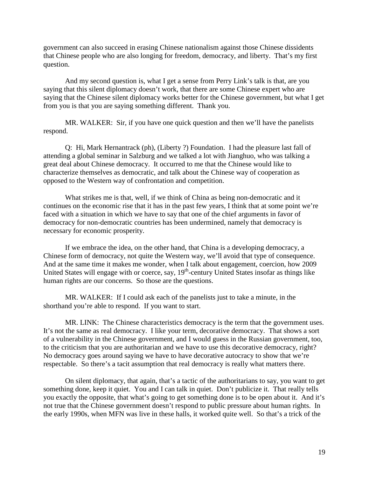government can also succeed in erasing Chinese nationalism against those Chinese dissidents that Chinese people who are also longing for freedom, democracy, and liberty. That's my first question.

And my second question is, what I get a sense from Perry Link's talk is that, are you saying that this silent diplomacy doesn't work, that there are some Chinese expert who are saying that the Chinese silent diplomacy works better for the Chinese government, but what I get from you is that you are saying something different. Thank you.

MR. WALKER: Sir, if you have one quick question and then we'll have the panelists respond.

Q: Hi, Mark Hernantrack (ph), (Liberty ?) Foundation. I had the pleasure last fall of attending a global seminar in Salzburg and we talked a lot with Jianghuo, who was talking a great deal about Chinese democracy. It occurred to me that the Chinese would like to characterize themselves as democratic, and talk about the Chinese way of cooperation as opposed to the Western way of confrontation and competition.

What strikes me is that, well, if we think of China as being non-democratic and it continues on the economic rise that it has in the past few years, I think that at some point we're faced with a situation in which we have to say that one of the chief arguments in favor of democracy for non-democratic countries has been undermined, namely that democracy is necessary for economic prosperity.

If we embrace the idea, on the other hand, that China is a developing democracy, a Chinese form of democracy, not quite the Western way, we'll avoid that type of consequence. And at the same time it makes me wonder, when I talk about engagement, coercion, how 2009 United States will engage with or coerce, say,  $19<sup>th</sup>$ -century United States insofar as things like human rights are our concerns. So those are the questions.

MR. WALKER: If I could ask each of the panelists just to take a minute, in the shorthand you're able to respond. If you want to start.

MR. LINK: The Chinese characteristics democracy is the term that the government uses. It's not the same as real democracy. I like your term, decorative democracy. That shows a sort of a vulnerability in the Chinese government, and I would guess in the Russian government, too, to the criticism that you are authoritarian and we have to use this decorative democracy, right? No democracy goes around saying we have to have decorative autocracy to show that we're respectable. So there's a tacit assumption that real democracy is really what matters there.

On silent diplomacy, that again, that's a tactic of the authoritarians to say, you want to get something done, keep it quiet. You and I can talk in quiet. Don't publicize it. That really tells you exactly the opposite, that what's going to get something done is to be open about it. And it's not true that the Chinese government doesn't respond to public pressure about human rights. In the early 1990s, when MFN was live in these halls, it worked quite well. So that's a trick of the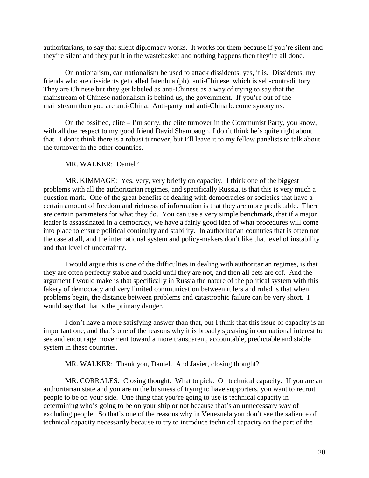authoritarians, to say that silent diplomacy works. It works for them because if you're silent and they're silent and they put it in the wastebasket and nothing happens then they're all done.

On nationalism, can nationalism be used to attack dissidents, yes, it is. Dissidents, my friends who are dissidents get called fatenhua (ph), anti-Chinese, which is self-contradictory. They are Chinese but they get labeled as anti-Chinese as a way of trying to say that the mainstream of Chinese nationalism is behind us, the government. If you're out of the mainstream then you are anti-China. Anti-party and anti-China become synonyms.

On the ossified, elite – I'm sorry, the elite turnover in the Communist Party, you know, with all due respect to my good friend David Shambaugh, I don't think he's quite right about that. I don't think there is a robust turnover, but I'll leave it to my fellow panelists to talk about the turnover in the other countries.

#### MR. WALKER: Daniel?

MR. KIMMAGE: Yes, very, very briefly on capacity. I think one of the biggest problems with all the authoritarian regimes, and specifically Russia, is that this is very much a question mark. One of the great benefits of dealing with democracies or societies that have a certain amount of freedom and richness of information is that they are more predictable. There are certain parameters for what they do. You can use a very simple benchmark, that if a major leader is assassinated in a democracy, we have a fairly good idea of what procedures will come into place to ensure political continuity and stability. In authoritarian countries that is often not the case at all, and the international system and policy-makers don't like that level of instability and that level of uncertainty.

I would argue this is one of the difficulties in dealing with authoritarian regimes, is that they are often perfectly stable and placid until they are not, and then all bets are off. And the argument I would make is that specifically in Russia the nature of the political system with this fakery of democracy and very limited communication between rulers and ruled is that when problems begin, the distance between problems and catastrophic failure can be very short. I would say that that is the primary danger.

I don't have a more satisfying answer than that, but I think that this issue of capacity is an important one, and that's one of the reasons why it is broadly speaking in our national interest to see and encourage movement toward a more transparent, accountable, predictable and stable system in these countries.

#### MR. WALKER: Thank you, Daniel. And Javier, closing thought?

MR. CORRALES: Closing thought. What to pick. On technical capacity. If you are an authoritarian state and you are in the business of trying to have supporters, you want to recruit people to be on your side. One thing that you're going to use is technical capacity in determining who's going to be on your ship or not because that's an unnecessary way of excluding people. So that's one of the reasons why in Venezuela you don't see the salience of technical capacity necessarily because to try to introduce technical capacity on the part of the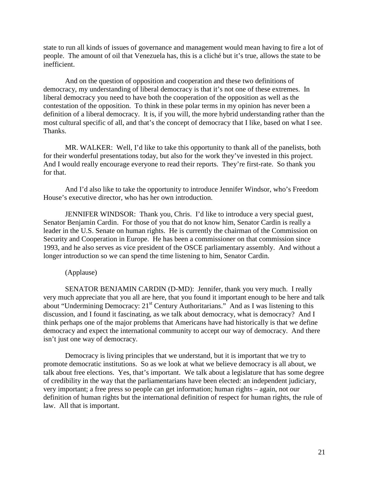state to run all kinds of issues of governance and management would mean having to fire a lot of people. The amount of oil that Venezuela has, this is a cliché but it's true, allows the state to be inefficient.

And on the question of opposition and cooperation and these two definitions of democracy, my understanding of liberal democracy is that it's not one of these extremes. In liberal democracy you need to have both the cooperation of the opposition as well as the contestation of the opposition. To think in these polar terms in my opinion has never been a definition of a liberal democracy. It is, if you will, the more hybrid understanding rather than the most cultural specific of all, and that's the concept of democracy that I like, based on what I see. Thanks.

MR. WALKER: Well, I'd like to take this opportunity to thank all of the panelists, both for their wonderful presentations today, but also for the work they've invested in this project. And I would really encourage everyone to read their reports. They're first-rate. So thank you for that.

And I'd also like to take the opportunity to introduce Jennifer Windsor, who's Freedom House's executive director, who has her own introduction.

JENNIFER WINDSOR: Thank you, Chris. I'd like to introduce a very special guest, Senator Benjamin Cardin. For those of you that do not know him, Senator Cardin is really a leader in the U.S. Senate on human rights. He is currently the chairman of the Commission on Security and Cooperation in Europe. He has been a commissioner on that commission since 1993, and he also serves as vice president of the OSCE parliamentary assembly. And without a longer introduction so we can spend the time listening to him, Senator Cardin.

(Applause)

SENATOR BENJAMIN CARDIN (D-MD): Jennifer, thank you very much. I really very much appreciate that you all are here, that you found it important enough to be here and talk about "Undermining Democracy: 21<sup>st</sup> Century Authoritarians." And as I was listening to this discussion, and I found it fascinating, as we talk about democracy, what is democracy? And I think perhaps one of the major problems that Americans have had historically is that we define democracy and expect the international community to accept our way of democracy. And there isn't just one way of democracy.

Democracy is living principles that we understand, but it is important that we try to promote democratic institutions. So as we look at what we believe democracy is all about, we talk about free elections. Yes, that's important. We talk about a legislature that has some degree of credibility in the way that the parliamentarians have been elected: an independent judiciary, very important; a free press so people can get information; human rights – again, not our definition of human rights but the international definition of respect for human rights, the rule of law. All that is important.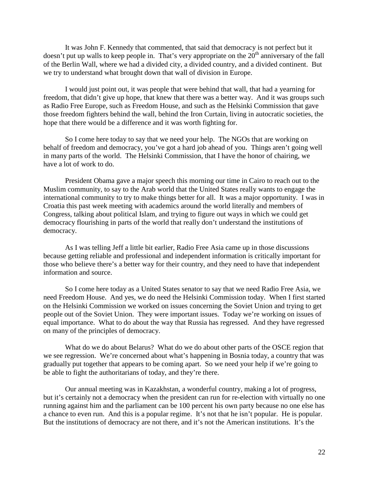It was John F. Kennedy that commented, that said that democracy is not perfect but it doesn't put up walls to keep people in. That's very appropriate on the  $20<sup>th</sup>$  anniversary of the fall of the Berlin Wall, where we had a divided city, a divided country, and a divided continent. But we try to understand what brought down that wall of division in Europe.

I would just point out, it was people that were behind that wall, that had a yearning for freedom, that didn't give up hope, that knew that there was a better way. And it was groups such as Radio Free Europe, such as Freedom House, and such as the Helsinki Commission that gave those freedom fighters behind the wall, behind the Iron Curtain, living in autocratic societies, the hope that there would be a difference and it was worth fighting for.

So I come here today to say that we need your help. The NGOs that are working on behalf of freedom and democracy, you've got a hard job ahead of you. Things aren't going well in many parts of the world. The Helsinki Commission, that I have the honor of chairing, we have a lot of work to do.

President Obama gave a major speech this morning our time in Cairo to reach out to the Muslim community, to say to the Arab world that the United States really wants to engage the international community to try to make things better for all. It was a major opportunity. I was in Croatia this past week meeting with academics around the world literally and members of Congress, talking about political Islam, and trying to figure out ways in which we could get democracy flourishing in parts of the world that really don't understand the institutions of democracy.

As I was telling Jeff a little bit earlier, Radio Free Asia came up in those discussions because getting reliable and professional and independent information is critically important for those who believe there's a better way for their country, and they need to have that independent information and source.

So I come here today as a United States senator to say that we need Radio Free Asia, we need Freedom House. And yes, we do need the Helsinki Commission today. When I first started on the Helsinki Commission we worked on issues concerning the Soviet Union and trying to get people out of the Soviet Union. They were important issues. Today we're working on issues of equal importance. What to do about the way that Russia has regressed. And they have regressed on many of the principles of democracy.

What do we do about Belarus? What do we do about other parts of the OSCE region that we see regression. We're concerned about what's happening in Bosnia today, a country that was gradually put together that appears to be coming apart. So we need your help if we're going to be able to fight the authoritarians of today, and they're there.

Our annual meeting was in Kazakhstan, a wonderful country, making a lot of progress, but it's certainly not a democracy when the president can run for re-election with virtually no one running against him and the parliament can be 100 percent his own party because no one else has a chance to even run. And this is a popular regime. It's not that he isn't popular. He is popular. But the institutions of democracy are not there, and it's not the American institutions. It's the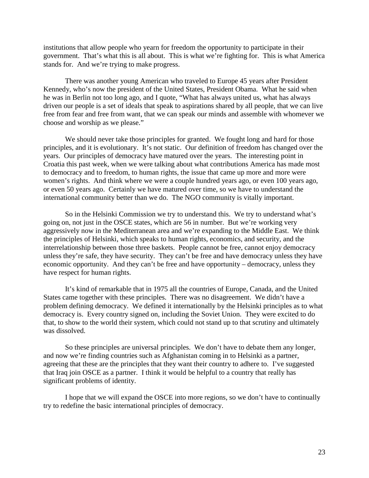institutions that allow people who yearn for freedom the opportunity to participate in their government. That's what this is all about. This is what we're fighting for. This is what America stands for. And we're trying to make progress.

There was another young American who traveled to Europe 45 years after President Kennedy, who's now the president of the United States, President Obama. What he said when he was in Berlin not too long ago, and I quote, "What has always united us, what has always driven our people is a set of ideals that speak to aspirations shared by all people, that we can live free from fear and free from want, that we can speak our minds and assemble with whomever we choose and worship as we please."

We should never take those principles for granted. We fought long and hard for those principles, and it is evolutionary. It's not static. Our definition of freedom has changed over the years. Our principles of democracy have matured over the years. The interesting point in Croatia this past week, when we were talking about what contributions America has made most to democracy and to freedom, to human rights, the issue that came up more and more were women's rights. And think where we were a couple hundred years ago, or even 100 years ago, or even 50 years ago. Certainly we have matured over time, so we have to understand the international community better than we do. The NGO community is vitally important.

So in the Helsinki Commission we try to understand this. We try to understand what's going on, not just in the OSCE states, which are 56 in number. But we're working very aggressively now in the Mediterranean area and we're expanding to the Middle East. We think the principles of Helsinki, which speaks to human rights, economics, and security, and the interrelationship between those three baskets. People cannot be free, cannot enjoy democracy unless they're safe, they have security. They can't be free and have democracy unless they have economic opportunity. And they can't be free and have opportunity – democracy, unless they have respect for human rights.

It's kind of remarkable that in 1975 all the countries of Europe, Canada, and the United States came together with these principles. There was no disagreement. We didn't have a problem defining democracy. We defined it internationally by the Helsinki principles as to what democracy is. Every country signed on, including the Soviet Union. They were excited to do that, to show to the world their system, which could not stand up to that scrutiny and ultimately was dissolved.

So these principles are universal principles. We don't have to debate them any longer, and now we're finding countries such as Afghanistan coming in to Helsinki as a partner, agreeing that these are the principles that they want their country to adhere to. I've suggested that Iraq join OSCE as a partner. I think it would be helpful to a country that really has significant problems of identity.

I hope that we will expand the OSCE into more regions, so we don't have to continually try to redefine the basic international principles of democracy.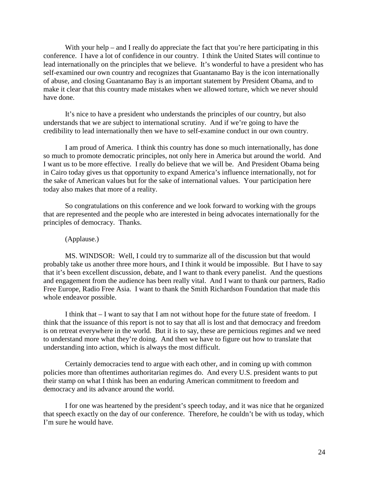With your help – and I really do appreciate the fact that you're here participating in this conference. I have a lot of confidence in our country. I think the United States will continue to lead internationally on the principles that we believe. It's wonderful to have a president who has self-examined our own country and recognizes that Guantanamo Bay is the icon internationally of abuse, and closing Guantanamo Bay is an important statement by President Obama, and to make it clear that this country made mistakes when we allowed torture, which we never should have done.

It's nice to have a president who understands the principles of our country, but also understands that we are subject to international scrutiny. And if we're going to have the credibility to lead internationally then we have to self-examine conduct in our own country.

I am proud of America. I think this country has done so much internationally, has done so much to promote democratic principles, not only here in America but around the world. And I want us to be more effective. I really do believe that we will be. And President Obama being in Cairo today gives us that opportunity to expand America's influence internationally, not for the sake of American values but for the sake of international values. Your participation here today also makes that more of a reality.

So congratulations on this conference and we look forward to working with the groups that are represented and the people who are interested in being advocates internationally for the principles of democracy. Thanks.

#### (Applause.)

MS. WINDSOR: Well, I could try to summarize all of the discussion but that would probably take us another three more hours, and I think it would be impossible. But I have to say that it's been excellent discussion, debate, and I want to thank every panelist. And the questions and engagement from the audience has been really vital. And I want to thank our partners, Radio Free Europe, Radio Free Asia. I want to thank the Smith Richardson Foundation that made this whole endeavor possible.

I think that – I want to say that I am not without hope for the future state of freedom. I think that the issuance of this report is not to say that all is lost and that democracy and freedom is on retreat everywhere in the world. But it is to say, these are pernicious regimes and we need to understand more what they're doing. And then we have to figure out how to translate that understanding into action, which is always the most difficult.

Certainly democracies tend to argue with each other, and in coming up with common policies more than oftentimes authoritarian regimes do. And every U.S. president wants to put their stamp on what I think has been an enduring American commitment to freedom and democracy and its advance around the world.

I for one was heartened by the president's speech today, and it was nice that he organized that speech exactly on the day of our conference. Therefore, he couldn't be with us today, which I'm sure he would have.